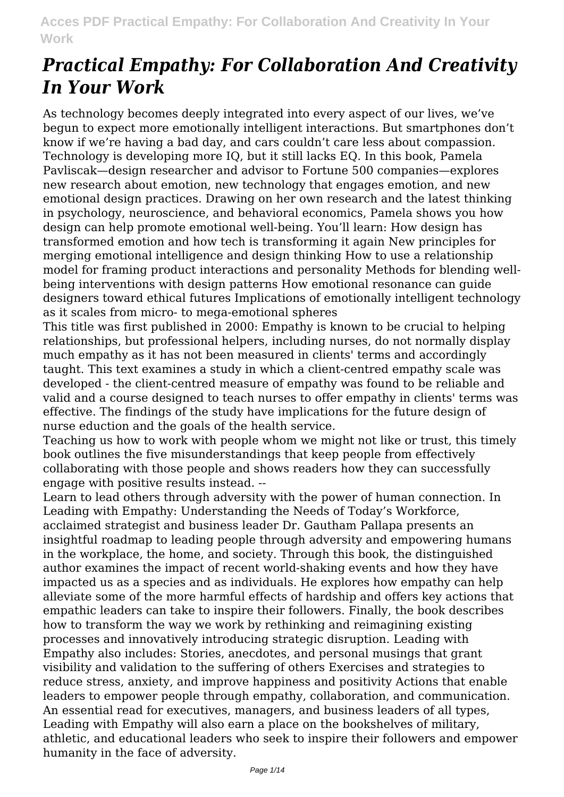As technology becomes deeply integrated into every aspect of our lives, we've begun to expect more emotionally intelligent interactions. But smartphones don't know if we're having a bad day, and cars couldn't care less about compassion. Technology is developing more IQ, but it still lacks EQ. In this book, Pamela Pavliscak—design researcher and advisor to Fortune 500 companies—explores new research about emotion, new technology that engages emotion, and new emotional design practices. Drawing on her own research and the latest thinking in psychology, neuroscience, and behavioral economics, Pamela shows you how design can help promote emotional well-being. You'll learn: How design has transformed emotion and how tech is transforming it again New principles for merging emotional intelligence and design thinking How to use a relationship model for framing product interactions and personality Methods for blending wellbeing interventions with design patterns How emotional resonance can guide designers toward ethical futures Implications of emotionally intelligent technology as it scales from micro- to mega-emotional spheres

This title was first published in 2000: Empathy is known to be crucial to helping relationships, but professional helpers, including nurses, do not normally display much empathy as it has not been measured in clients' terms and accordingly taught. This text examines a study in which a client-centred empathy scale was developed - the client-centred measure of empathy was found to be reliable and valid and a course designed to teach nurses to offer empathy in clients' terms was effective. The findings of the study have implications for the future design of nurse eduction and the goals of the health service.

Teaching us how to work with people whom we might not like or trust, this timely book outlines the five misunderstandings that keep people from effectively collaborating with those people and shows readers how they can successfully engage with positive results instead. --

Learn to lead others through adversity with the power of human connection. In Leading with Empathy: Understanding the Needs of Today's Workforce, acclaimed strategist and business leader Dr. Gautham Pallapa presents an insightful roadmap to leading people through adversity and empowering humans in the workplace, the home, and society. Through this book, the distinguished author examines the impact of recent world-shaking events and how they have impacted us as a species and as individuals. He explores how empathy can help alleviate some of the more harmful effects of hardship and offers key actions that empathic leaders can take to inspire their followers. Finally, the book describes how to transform the way we work by rethinking and reimagining existing processes and innovatively introducing strategic disruption. Leading with Empathy also includes: Stories, anecdotes, and personal musings that grant visibility and validation to the suffering of others Exercises and strategies to reduce stress, anxiety, and improve happiness and positivity Actions that enable leaders to empower people through empathy, collaboration, and communication. An essential read for executives, managers, and business leaders of all types, Leading with Empathy will also earn a place on the bookshelves of military, athletic, and educational leaders who seek to inspire their followers and empower humanity in the face of adversity.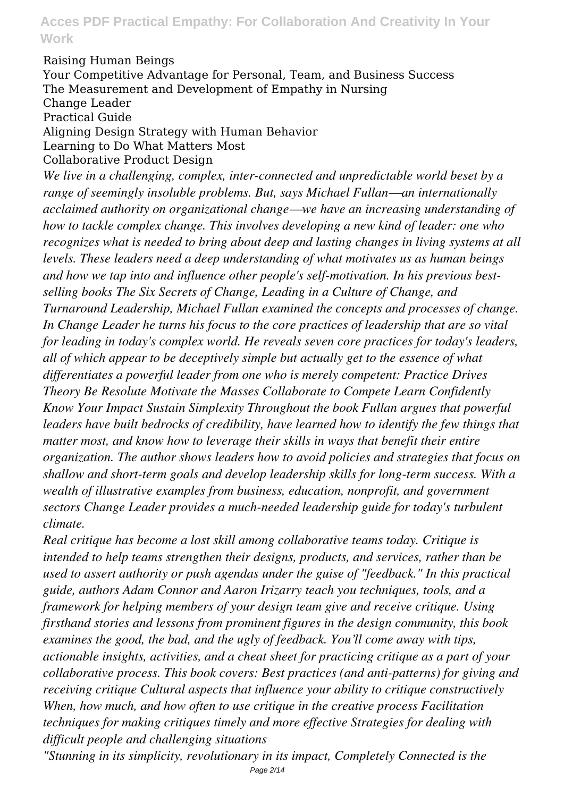Raising Human Beings Your Competitive Advantage for Personal, Team, and Business Success The Measurement and Development of Empathy in Nursing Change Leader Practical Guide Aligning Design Strategy with Human Behavior Learning to Do What Matters Most Collaborative Product Design

*We live in a challenging, complex, inter-connected and unpredictable world beset by a range of seemingly insoluble problems. But, says Michael Fullan—an internationally acclaimed authority on organizational change—we have an increasing understanding of how to tackle complex change. This involves developing a new kind of leader: one who recognizes what is needed to bring about deep and lasting changes in living systems at all levels. These leaders need a deep understanding of what motivates us as human beings and how we tap into and influence other people's self-motivation. In his previous bestselling books The Six Secrets of Change, Leading in a Culture of Change, and Turnaround Leadership, Michael Fullan examined the concepts and processes of change. In Change Leader he turns his focus to the core practices of leadership that are so vital for leading in today's complex world. He reveals seven core practices for today's leaders, all of which appear to be deceptively simple but actually get to the essence of what differentiates a powerful leader from one who is merely competent: Practice Drives Theory Be Resolute Motivate the Masses Collaborate to Compete Learn Confidently Know Your Impact Sustain Simplexity Throughout the book Fullan argues that powerful leaders have built bedrocks of credibility, have learned how to identify the few things that matter most, and know how to leverage their skills in ways that benefit their entire organization. The author shows leaders how to avoid policies and strategies that focus on shallow and short-term goals and develop leadership skills for long-term success. With a wealth of illustrative examples from business, education, nonprofit, and government sectors Change Leader provides a much-needed leadership guide for today's turbulent climate.*

*Real critique has become a lost skill among collaborative teams today. Critique is intended to help teams strengthen their designs, products, and services, rather than be used to assert authority or push agendas under the guise of "feedback." In this practical guide, authors Adam Connor and Aaron Irizarry teach you techniques, tools, and a framework for helping members of your design team give and receive critique. Using firsthand stories and lessons from prominent figures in the design community, this book examines the good, the bad, and the ugly of feedback. You'll come away with tips, actionable insights, activities, and a cheat sheet for practicing critique as a part of your collaborative process. This book covers: Best practices (and anti-patterns) for giving and receiving critique Cultural aspects that influence your ability to critique constructively When, how much, and how often to use critique in the creative process Facilitation techniques for making critiques timely and more effective Strategies for dealing with difficult people and challenging situations*

*"Stunning in its simplicity, revolutionary in its impact, Completely Connected is the* Page 2/14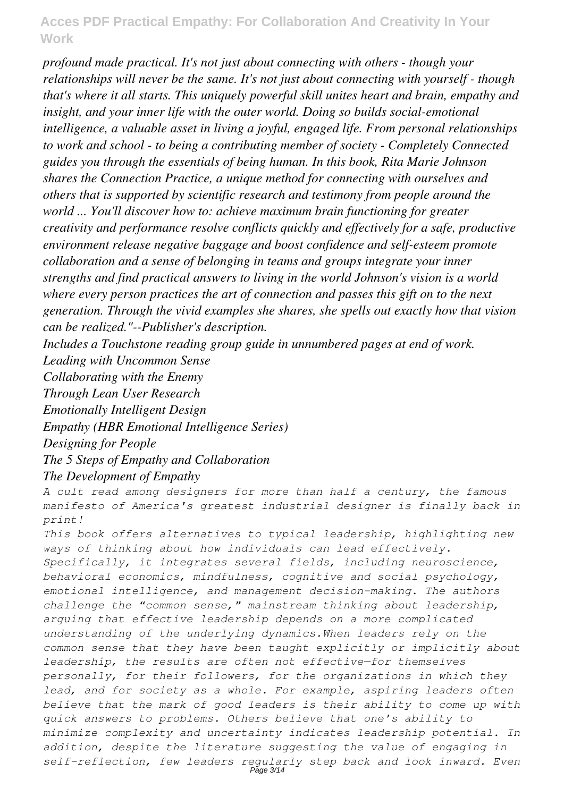*profound made practical. It's not just about connecting with others - though your relationships will never be the same. It's not just about connecting with yourself - though that's where it all starts. This uniquely powerful skill unites heart and brain, empathy and insight, and your inner life with the outer world. Doing so builds social-emotional intelligence, a valuable asset in living a joyful, engaged life. From personal relationships to work and school - to being a contributing member of society - Completely Connected guides you through the essentials of being human. In this book, Rita Marie Johnson shares the Connection Practice, a unique method for connecting with ourselves and others that is supported by scientific research and testimony from people around the world ... You'll discover how to: achieve maximum brain functioning for greater creativity and performance resolve conflicts quickly and effectively for a safe, productive environment release negative baggage and boost confidence and self-esteem promote collaboration and a sense of belonging in teams and groups integrate your inner strengths and find practical answers to living in the world Johnson's vision is a world where every person practices the art of connection and passes this gift on to the next generation. Through the vivid examples she shares, she spells out exactly how that vision can be realized."--Publisher's description.*

*Includes a Touchstone reading group guide in unnumbered pages at end of work.*

*Leading with Uncommon Sense*

*Collaborating with the Enemy*

*Through Lean User Research*

*Emotionally Intelligent Design*

*Empathy (HBR Emotional Intelligence Series)*

*Designing for People*

*The 5 Steps of Empathy and Collaboration*

*The Development of Empathy*

*A cult read among designers for more than half a century, the famous manifesto of America's greatest industrial designer is finally back in print!*

*This book offers alternatives to typical leadership, highlighting new ways of thinking about how individuals can lead effectively. Specifically, it integrates several fields, including neuroscience, behavioral economics, mindfulness, cognitive and social psychology, emotional intelligence, and management decision-making. The authors challenge the "common sense," mainstream thinking about leadership, arguing that effective leadership depends on a more complicated understanding of the underlying dynamics.When leaders rely on the common sense that they have been taught explicitly or implicitly about leadership, the results are often not effective—for themselves personally, for their followers, for the organizations in which they lead, and for society as a whole. For example, aspiring leaders often believe that the mark of good leaders is their ability to come up with quick answers to problems. Others believe that one's ability to minimize complexity and uncertainty indicates leadership potential. In addition, despite the literature suggesting the value of engaging in self-reflection, few leaders regularly step back and look inward. Even* Page 3/14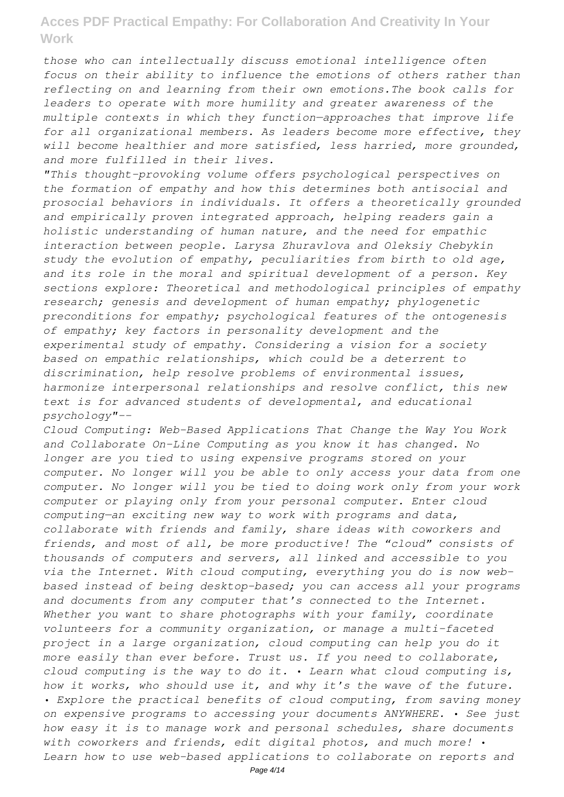*those who can intellectually discuss emotional intelligence often focus on their ability to influence the emotions of others rather than reflecting on and learning from their own emotions.The book calls for leaders to operate with more humility and greater awareness of the multiple contexts in which they function—approaches that improve life for all organizational members. As leaders become more effective, they will become healthier and more satisfied, less harried, more grounded, and more fulfilled in their lives.*

*"This thought-provoking volume offers psychological perspectives on the formation of empathy and how this determines both antisocial and prosocial behaviors in individuals. It offers a theoretically grounded and empirically proven integrated approach, helping readers gain a holistic understanding of human nature, and the need for empathic interaction between people. Larysa Zhuravlova and Oleksiy Chebykin study the evolution of empathy, peculiarities from birth to old age, and its role in the moral and spiritual development of a person. Key sections explore: Theoretical and methodological principles of empathy research; genesis and development of human empathy; phylogenetic preconditions for empathy; psychological features of the ontogenesis of empathy; key factors in personality development and the experimental study of empathy. Considering a vision for a society based on empathic relationships, which could be a deterrent to discrimination, help resolve problems of environmental issues, harmonize interpersonal relationships and resolve conflict, this new text is for advanced students of developmental, and educational psychology"--*

*Cloud Computing: Web-Based Applications That Change the Way You Work and Collaborate On-Line Computing as you know it has changed. No longer are you tied to using expensive programs stored on your computer. No longer will you be able to only access your data from one computer. No longer will you be tied to doing work only from your work computer or playing only from your personal computer. Enter cloud computing—an exciting new way to work with programs and data, collaborate with friends and family, share ideas with coworkers and friends, and most of all, be more productive! The "cloud" consists of thousands of computers and servers, all linked and accessible to you via the Internet. With cloud computing, everything you do is now webbased instead of being desktop-based; you can access all your programs and documents from any computer that's connected to the Internet. Whether you want to share photographs with your family, coordinate volunteers for a community organization, or manage a multi-faceted project in a large organization, cloud computing can help you do it more easily than ever before. Trust us. If you need to collaborate, cloud computing is the way to do it. • Learn what cloud computing is, how it works, who should use it, and why it's the wave of the future. • Explore the practical benefits of cloud computing, from saving money on expensive programs to accessing your documents ANYWHERE. • See just how easy it is to manage work and personal schedules, share documents with coworkers and friends, edit digital photos, and much more! • Learn how to use web-based applications to collaborate on reports and*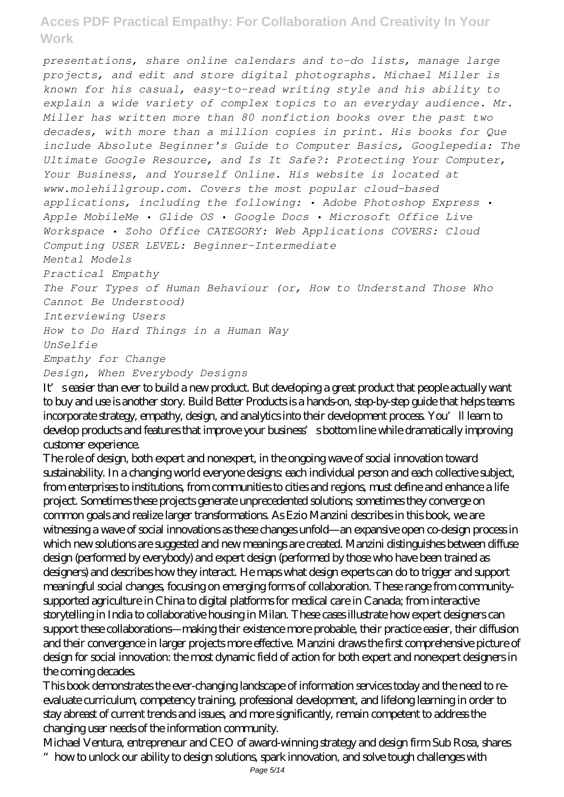*presentations, share online calendars and to-do lists, manage large projects, and edit and store digital photographs. Michael Miller is known for his casual, easy-to-read writing style and his ability to explain a wide variety of complex topics to an everyday audience. Mr. Miller has written more than 80 nonfiction books over the past two decades, with more than a million copies in print. His books for Que include Absolute Beginner's Guide to Computer Basics, Googlepedia: The Ultimate Google Resource, and Is It Safe?: Protecting Your Computer, Your Business, and Yourself Online. His website is located at www.molehillgroup.com. Covers the most popular cloud-based applications, including the following: • Adobe Photoshop Express • Apple MobileMe • Glide OS • Google Docs • Microsoft Office Live Workspace • Zoho Office CATEGORY: Web Applications COVERS: Cloud Computing USER LEVEL: Beginner-Intermediate Mental Models Practical Empathy The Four Types of Human Behaviour (or, How to Understand Those Who Cannot Be Understood) Interviewing Users How to Do Hard Things in a Human Way UnSelfie Empathy for Change Design, When Everybody Designs*

It's easier than ever to build a new product. But developing a great product that people actually want to buy and use is another story. Build Better Products is a hands-on, step-by-step guide that helps teams incorporate strategy, empathy, design, and analytics into their development process. You'll learn to develop products and features that improve your business's bottom line while dramatically improving customer experience.

The role of design, both expert and nonexpert, in the ongoing wave of social innovation toward sustainability. In a changing world everyone designs: each individual person and each collective subject, from enterprises to institutions, from communities to cities and regions, must define and enhance a life project. Sometimes these projects generate unprecedented solutions; sometimes they converge on common goals and realize larger transformations. As Ezio Manzini describes in this book, we are witnessing a wave of social innovations as these changes unfold—an expansive open co-design process in which new solutions are suggested and new meanings are created. Manzini distinguishes between diffuse design (performed by everybody) and expert design (performed by those who have been trained as designers) and describes how they interact. He maps what design experts can do to trigger and support meaningful social changes, focusing on emerging forms of collaboration. These range from communitysupported agriculture in China to digital platforms for medical care in Canada; from interactive storytelling in India to collaborative housing in Milan. These cases illustrate how expert designers can support these collaborations—making their existence more probable, their practice easier, their diffusion and their convergence in larger projects more effective. Manzini draws the first comprehensive picture of design for social innovation: the most dynamic field of action for both expert and nonexpert designers in the coming decades.

This book demonstrates the ever-changing landscape of information services today and the need to reevaluate curriculum, competency training, professional development, and lifelong learning in order to stay abreast of current trends and issues, and more significantly, remain competent to address the changing user needs of the information community.

Michael Ventura, entrepreneur and CEO of award-winning strategy and design firm Sub Rosa, shares "how to unlock our ability to design solutions, spark innovation, and solve tough challenges with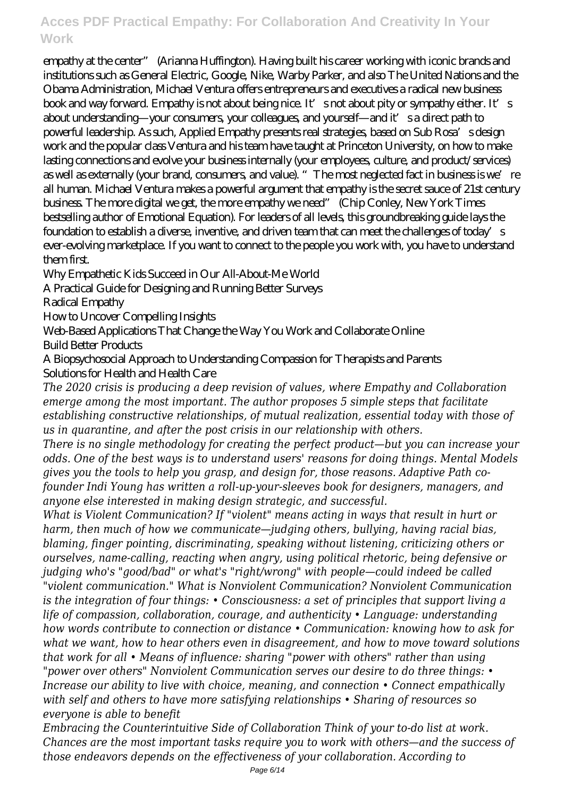empathy at the center" (Arianna Huffington). Having built his career working with iconic brands and institutions such as General Electric, Google, Nike, Warby Parker, and also The United Nations and the Obama Administration, Michael Ventura offers entrepreneurs and executives a radical new business book and way forward. Empathy is not about being nice. It's not about pity or sympathy either. It's about understanding—your consumers, your colleagues, and yourself—and it's a direct path to powerful leadership. As such, Applied Empathy presents real strategies, based on Sub Rosa's design work and the popular class Ventura and his team have taught at Princeton University, on how to make lasting connections and evolve your business internally (your employees, culture, and product/services) as well as externally (your brand, consumers, and value). " The most neglected fact in business is we're all human. Michael Ventura makes a powerful argument that empathy is the secret sauce of 21st century business. The more digital we get, the more empathy we need" (Chip Conley, New York Times bestselling author of Emotional Equation). For leaders of all levels, this groundbreaking guide lays the foundation to establish a diverse, inventive, and driven team that can meet the challenges of today's ever-evolving marketplace. If you want to connect to the people you work with, you have to understand them first.

Why Empathetic Kids Succeed in Our All-About-Me World

A Practical Guide for Designing and Running Better Surveys

Radical Empathy

How to Uncover Compelling Insights

Web-Based Applications That Change the Way You Work and Collaborate Online Build Better Products

A Biopsychosocial Approach to Understanding Compassion for Therapists and Parents Solutions for Health and Health Care

*The 2020 crisis is producing a deep revision of values, where Empathy and Collaboration emerge among the most important. The author proposes 5 simple steps that facilitate establishing constructive relationships, of mutual realization, essential today with those of us in quarantine, and after the post crisis in our relationship with others.*

*There is no single methodology for creating the perfect product—but you can increase your odds. One of the best ways is to understand users' reasons for doing things. Mental Models gives you the tools to help you grasp, and design for, those reasons. Adaptive Path cofounder Indi Young has written a roll-up-your-sleeves book for designers, managers, and anyone else interested in making design strategic, and successful.*

*What is Violent Communication? If "violent" means acting in ways that result in hurt or harm, then much of how we communicate—judging others, bullying, having racial bias, blaming, finger pointing, discriminating, speaking without listening, criticizing others or ourselves, name-calling, reacting when angry, using political rhetoric, being defensive or judging who's "good/bad" or what's "right/wrong" with people—could indeed be called "violent communication." What is Nonviolent Communication? Nonviolent Communication is the integration of four things: • Consciousness: a set of principles that support living a life of compassion, collaboration, courage, and authenticity • Language: understanding how words contribute to connection or distance • Communication: knowing how to ask for what we want, how to hear others even in disagreement, and how to move toward solutions that work for all • Means of influence: sharing "power with others" rather than using "power over others" Nonviolent Communication serves our desire to do three things: • Increase our ability to live with choice, meaning, and connection • Connect empathically with self and others to have more satisfying relationships • Sharing of resources so everyone is able to benefit*

*Embracing the Counterintuitive Side of Collaboration Think of your to-do list at work. Chances are the most important tasks require you to work with others—and the success of those endeavors depends on the effectiveness of your collaboration. According to*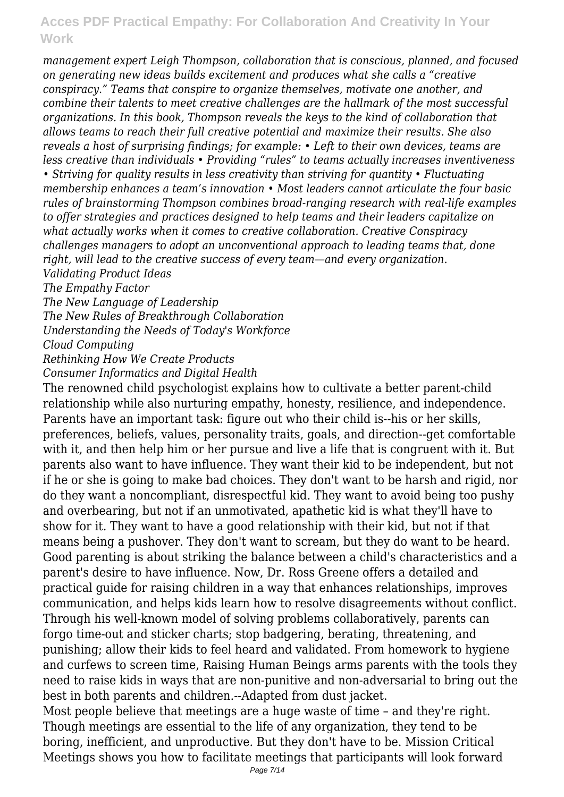*management expert Leigh Thompson, collaboration that is conscious, planned, and focused on generating new ideas builds excitement and produces what she calls a "creative conspiracy." Teams that conspire to organize themselves, motivate one another, and combine their talents to meet creative challenges are the hallmark of the most successful organizations. In this book, Thompson reveals the keys to the kind of collaboration that allows teams to reach their full creative potential and maximize their results. She also reveals a host of surprising findings; for example: • Left to their own devices, teams are less creative than individuals • Providing "rules" to teams actually increases inventiveness • Striving for quality results in less creativity than striving for quantity • Fluctuating membership enhances a team's innovation • Most leaders cannot articulate the four basic rules of brainstorming Thompson combines broad-ranging research with real-life examples to offer strategies and practices designed to help teams and their leaders capitalize on what actually works when it comes to creative collaboration. Creative Conspiracy*

*challenges managers to adopt an unconventional approach to leading teams that, done right, will lead to the creative success of every team—and every organization.*

*Validating Product Ideas*

*The Empathy Factor*

*The New Language of Leadership*

*The New Rules of Breakthrough Collaboration*

*Understanding the Needs of Today's Workforce*

*Cloud Computing*

*Rethinking How We Create Products*

*Consumer Informatics and Digital Health*

The renowned child psychologist explains how to cultivate a better parent-child relationship while also nurturing empathy, honesty, resilience, and independence. Parents have an important task: figure out who their child is--his or her skills, preferences, beliefs, values, personality traits, goals, and direction--get comfortable with it, and then help him or her pursue and live a life that is congruent with it. But parents also want to have influence. They want their kid to be independent, but not if he or she is going to make bad choices. They don't want to be harsh and rigid, nor do they want a noncompliant, disrespectful kid. They want to avoid being too pushy and overbearing, but not if an unmotivated, apathetic kid is what they'll have to show for it. They want to have a good relationship with their kid, but not if that means being a pushover. They don't want to scream, but they do want to be heard. Good parenting is about striking the balance between a child's characteristics and a parent's desire to have influence. Now, Dr. Ross Greene offers a detailed and practical guide for raising children in a way that enhances relationships, improves communication, and helps kids learn how to resolve disagreements without conflict. Through his well-known model of solving problems collaboratively, parents can forgo time-out and sticker charts; stop badgering, berating, threatening, and punishing; allow their kids to feel heard and validated. From homework to hygiene and curfews to screen time, Raising Human Beings arms parents with the tools they need to raise kids in ways that are non-punitive and non-adversarial to bring out the best in both parents and children.--Adapted from dust jacket.

Most people believe that meetings are a huge waste of time – and they're right. Though meetings are essential to the life of any organization, they tend to be boring, inefficient, and unproductive. But they don't have to be. Mission Critical Meetings shows you how to facilitate meetings that participants will look forward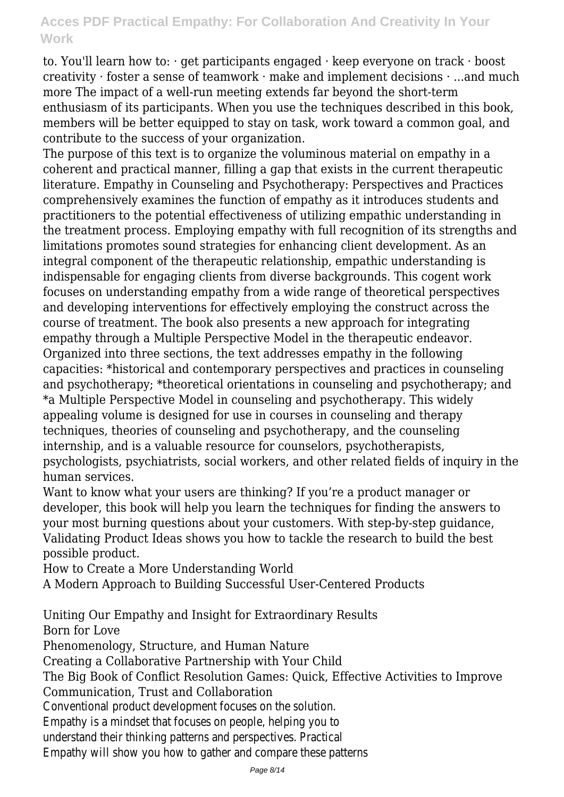to. You'll learn how to:  $\cdot$  get participants engaged  $\cdot$  keep everyone on track  $\cdot$  boost creativity · foster a sense of teamwork · make and implement decisions · ...and much more The impact of a well-run meeting extends far beyond the short-term enthusiasm of its participants. When you use the techniques described in this book, members will be better equipped to stay on task, work toward a common goal, and contribute to the success of your organization.

The purpose of this text is to organize the voluminous material on empathy in a coherent and practical manner, filling a gap that exists in the current therapeutic literature. Empathy in Counseling and Psychotherapy: Perspectives and Practices comprehensively examines the function of empathy as it introduces students and practitioners to the potential effectiveness of utilizing empathic understanding in the treatment process. Employing empathy with full recognition of its strengths and limitations promotes sound strategies for enhancing client development. As an integral component of the therapeutic relationship, empathic understanding is indispensable for engaging clients from diverse backgrounds. This cogent work focuses on understanding empathy from a wide range of theoretical perspectives and developing interventions for effectively employing the construct across the course of treatment. The book also presents a new approach for integrating empathy through a Multiple Perspective Model in the therapeutic endeavor. Organized into three sections, the text addresses empathy in the following capacities: \*historical and contemporary perspectives and practices in counseling and psychotherapy; \*theoretical orientations in counseling and psychotherapy; and \*a Multiple Perspective Model in counseling and psychotherapy. This widely appealing volume is designed for use in courses in counseling and therapy techniques, theories of counseling and psychotherapy, and the counseling internship, and is a valuable resource for counselors, psychotherapists, psychologists, psychiatrists, social workers, and other related fields of inquiry in the human services.

Want to know what your users are thinking? If you're a product manager or developer, this book will help you learn the techniques for finding the answers to your most burning questions about your customers. With step-by-step guidance, Validating Product Ideas shows you how to tackle the research to build the best possible product.

How to Create a More Understanding World

A Modern Approach to Building Successful User-Centered Products

Uniting Our Empathy and Insight for Extraordinary Results Born for Love

Phenomenology, Structure, and Human Nature

Creating a Collaborative Partnership with Your Child

The Big Book of Conflict Resolution Games: Quick, Effective Activities to Improve

Communication, Trust and Collaboration

Conventional product development focuses on the solution.

Empathy is a mindset that focuses on people, helping you to

understand their thinking patterns and perspectives. Practical

Empathy will show you how to gather and compare these patterns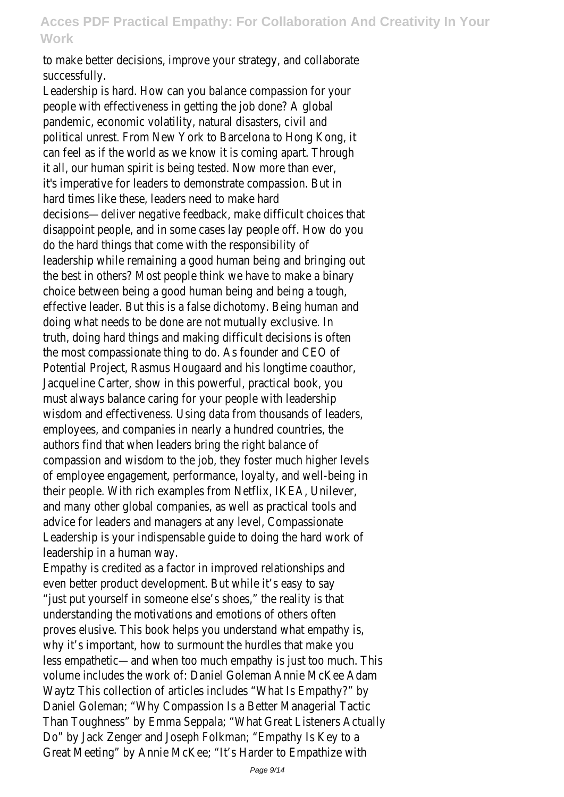to make better decisions, improve your strategy, and collaborate successfully.

Leadership is hard. How can you balance compassion for your people with effectiveness in getting the job done? A global pandemic, economic volatility, natural disasters, civil and political unrest. From New York to Barcelona to Hong Kong, it can feel as if the world as we know it is coming apart. Through it all, our human spirit is being tested. Now more than ever, it's imperative for leaders to demonstrate compassion. But in hard times like these, leaders need to make hard decisions—deliver negative feedback, make difficult choices that disappoint people, and in some cases lay people off. How do you do the hard things that come with the responsibility of leadership while remaining a good human being and bringing out the best in others? Most people think we have to make a binary choice between being a good human being and being a tough, effective leader. But this is a false dichotomy. Being human and doing what needs to be done are not mutually exclusive. In truth, doing hard things and making difficult decisions is often the most compassionate thing to do. As founder and CEO of Potential Project, Rasmus Hougaard and his longtime coauthor, Jacqueline Carter, show in this powerful, practical book, you must always balance caring for your people with leadership wisdom and effectiveness. Using data from thousands of leaders, employees, and companies in nearly a hundred countries, the authors find that when leaders bring the right balance of compassion and wisdom to the job, they foster much higher levels of employee engagement, performance, loyalty, and well-being in their people. With rich examples from Netflix, IKEA, Unilever, and many other global companies, as well as practical tools and advice for leaders and managers at any level, Compassionate Leadership is your indispensable guide to doing the hard work of leadership in a human way.

Empathy is credited as a factor in improved relationships and even better product development. But while it's easy to say "just put yourself in someone else's shoes," the reality is that understanding the motivations and emotions of others often proves elusive. This book helps you understand what empathy is, why it's important, how to surmount the hurdles that make you less empathetic—and when too much empathy is just too much. This volume includes the work of: Daniel Goleman Annie McKee Adam Waytz This collection of articles includes "What Is Empathy?" by Daniel Goleman; "Why Compassion Is a Better Managerial Tactic Than Toughness" by Emma Seppala; "What Great Listeners Actually Do" by Jack Zenger and Joseph Folkman; "Empathy Is Key to a Great Meeting" by Annie McKee; "It's Harder to Empathize with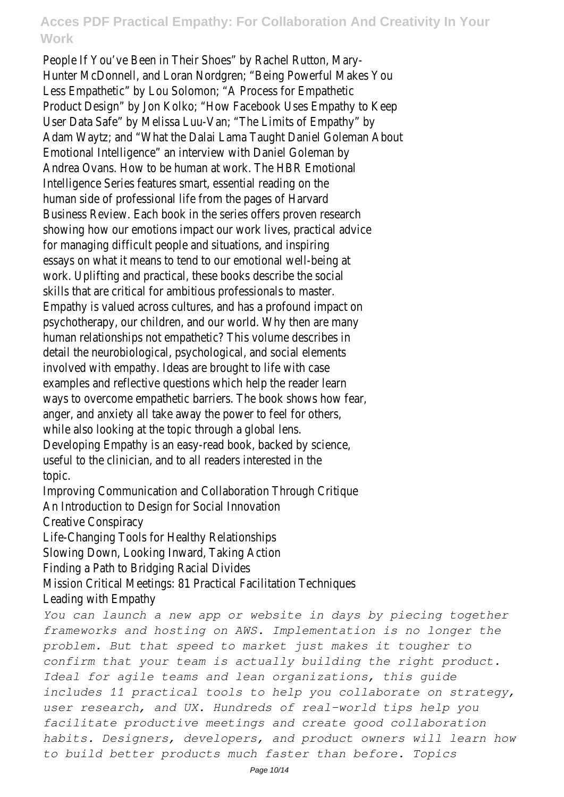People If You've Been in Their Shoes" by Rachel Rutton, Mary-Hunter McDonnell, and Loran Nordgren; "Being Powerful Makes You Less Empathetic" by Lou Solomon; "A Process for Empathetic Product Design" by Jon Kolko; "How Facebook Uses Empathy to Keep User Data Safe" by Melissa Luu-Van; "The Limits of Empathy" by Adam Waytz; and "What the Dalai Lama Taught Daniel Goleman About Emotional Intelligence" an interview with Daniel Goleman by Andrea Ovans. How to be human at work. The HBR Emotional Intelligence Series features smart, essential reading on the human side of professional life from the pages of Harvard Business Review. Each book in the series offers proven research showing how our emotions impact our work lives, practical advice for managing difficult people and situations, and inspiring essays on what it means to tend to our emotional well-being at work. Uplifting and practical, these books describe the social skills that are critical for ambitious professionals to master. Empathy is valued across cultures, and has a profound impact on psychotherapy, our children, and our world. Why then are many human relationships not empathetic? This volume describes in detail the neurobiological, psychological, and social elements involved with empathy. Ideas are brought to life with case examples and reflective questions which help the reader learn ways to overcome empathetic barriers. The book shows how fear, anger, and anxiety all take away the power to feel for others, while also looking at the topic through a global lens. Developing Empathy is an easy-read book, backed by science, useful to the clinician, and to all readers interested in the topic.

Improving Communication and Collaboration Through Critique An Introduction to Design for Social Innovation Creative Conspiracy Life-Changing Tools for Healthy Relationships Slowing Down, Looking Inward, Taking Action

Finding a Path to Bridging Racial Divides

Mission Critical Meetings: 81 Practical Facilitation Techniques

#### Leading with Empathy

*You can launch a new app or website in days by piecing together frameworks and hosting on AWS. Implementation is no longer the problem. But that speed to market just makes it tougher to confirm that your team is actually building the right product. Ideal for agile teams and lean organizations, this guide includes 11 practical tools to help you collaborate on strategy, user research, and UX. Hundreds of real-world tips help you facilitate productive meetings and create good collaboration habits. Designers, developers, and product owners will learn how to build better products much faster than before. Topics*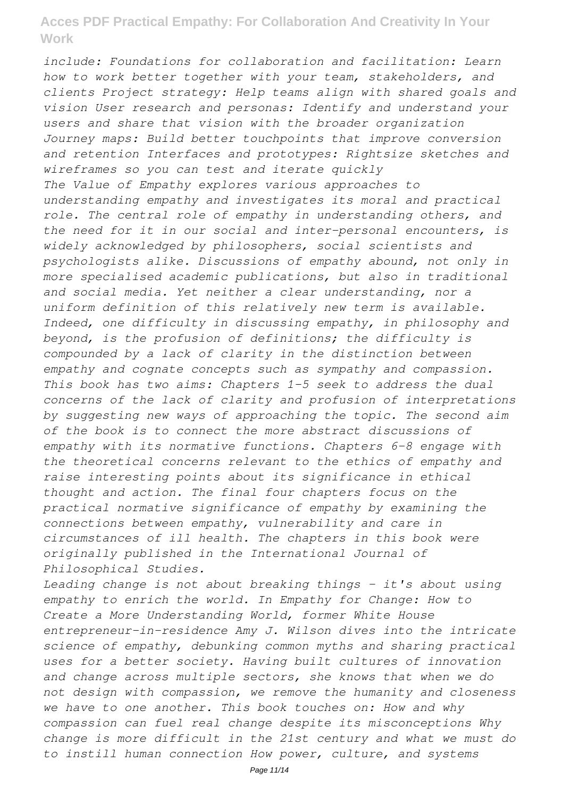*include: Foundations for collaboration and facilitation: Learn how to work better together with your team, stakeholders, and clients Project strategy: Help teams align with shared goals and vision User research and personas: Identify and understand your users and share that vision with the broader organization Journey maps: Build better touchpoints that improve conversion and retention Interfaces and prototypes: Rightsize sketches and wireframes so you can test and iterate quickly The Value of Empathy explores various approaches to understanding empathy and investigates its moral and practical role. The central role of empathy in understanding others, and the need for it in our social and inter-personal encounters, is widely acknowledged by philosophers, social scientists and psychologists alike. Discussions of empathy abound, not only in more specialised academic publications, but also in traditional and social media. Yet neither a clear understanding, nor a uniform definition of this relatively new term is available. Indeed, one difficulty in discussing empathy, in philosophy and beyond, is the profusion of definitions; the difficulty is compounded by a lack of clarity in the distinction between empathy and cognate concepts such as sympathy and compassion. This book has two aims: Chapters 1–5 seek to address the dual concerns of the lack of clarity and profusion of interpretations by suggesting new ways of approaching the topic. The second aim of the book is to connect the more abstract discussions of empathy with its normative functions. Chapters 6–8 engage with the theoretical concerns relevant to the ethics of empathy and raise interesting points about its significance in ethical thought and action. The final four chapters focus on the practical normative significance of empathy by examining the connections between empathy, vulnerability and care in circumstances of ill health. The chapters in this book were originally published in the International Journal of Philosophical Studies. Leading change is not about breaking things - it's about using*

*empathy to enrich the world. In Empathy for Change: How to Create a More Understanding World, former White House entrepreneur-in-residence Amy J. Wilson dives into the intricate science of empathy, debunking common myths and sharing practical uses for a better society. Having built cultures of innovation and change across multiple sectors, she knows that when we do not design with compassion, we remove the humanity and closeness we have to one another. This book touches on: How and why compassion can fuel real change despite its misconceptions Why change is more difficult in the 21st century and what we must do to instill human connection How power, culture, and systems*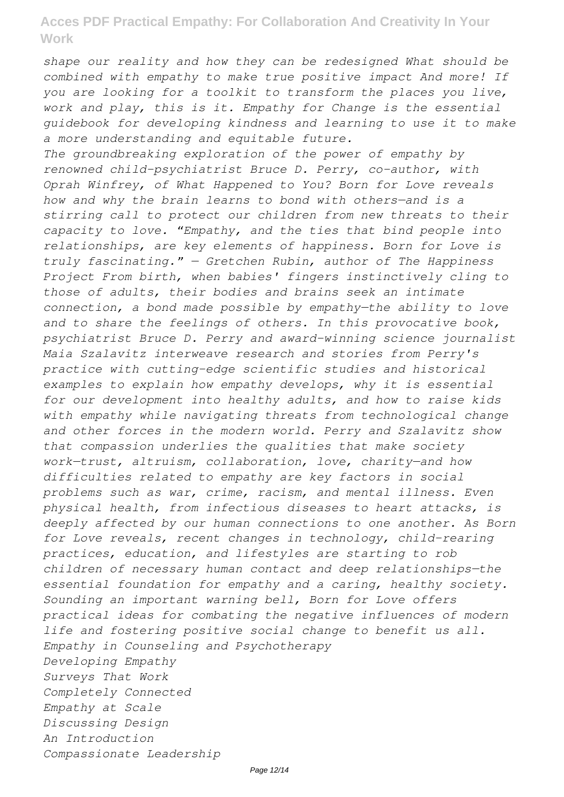*shape our reality and how they can be redesigned What should be combined with empathy to make true positive impact And more! If you are looking for a toolkit to transform the places you live, work and play, this is it. Empathy for Change is the essential guidebook for developing kindness and learning to use it to make a more understanding and equitable future.*

*The groundbreaking exploration of the power of empathy by renowned child-psychiatrist Bruce D. Perry, co-author, with Oprah Winfrey, of What Happened to You? Born for Love reveals how and why the brain learns to bond with others—and is a stirring call to protect our children from new threats to their capacity to love. "Empathy, and the ties that bind people into relationships, are key elements of happiness. Born for Love is truly fascinating." — Gretchen Rubin, author of The Happiness Project From birth, when babies' fingers instinctively cling to those of adults, their bodies and brains seek an intimate connection, a bond made possible by empathy—the ability to love and to share the feelings of others. In this provocative book, psychiatrist Bruce D. Perry and award-winning science journalist Maia Szalavitz interweave research and stories from Perry's practice with cutting-edge scientific studies and historical examples to explain how empathy develops, why it is essential for our development into healthy adults, and how to raise kids with empathy while navigating threats from technological change and other forces in the modern world. Perry and Szalavitz show that compassion underlies the qualities that make society work—trust, altruism, collaboration, love, charity—and how difficulties related to empathy are key factors in social problems such as war, crime, racism, and mental illness. Even physical health, from infectious diseases to heart attacks, is deeply affected by our human connections to one another. As Born for Love reveals, recent changes in technology, child-rearing practices, education, and lifestyles are starting to rob children of necessary human contact and deep relationships—the essential foundation for empathy and a caring, healthy society. Sounding an important warning bell, Born for Love offers practical ideas for combating the negative influences of modern life and fostering positive social change to benefit us all. Empathy in Counseling and Psychotherapy Developing Empathy Surveys That Work Completely Connected Empathy at Scale Discussing Design An Introduction Compassionate Leadership*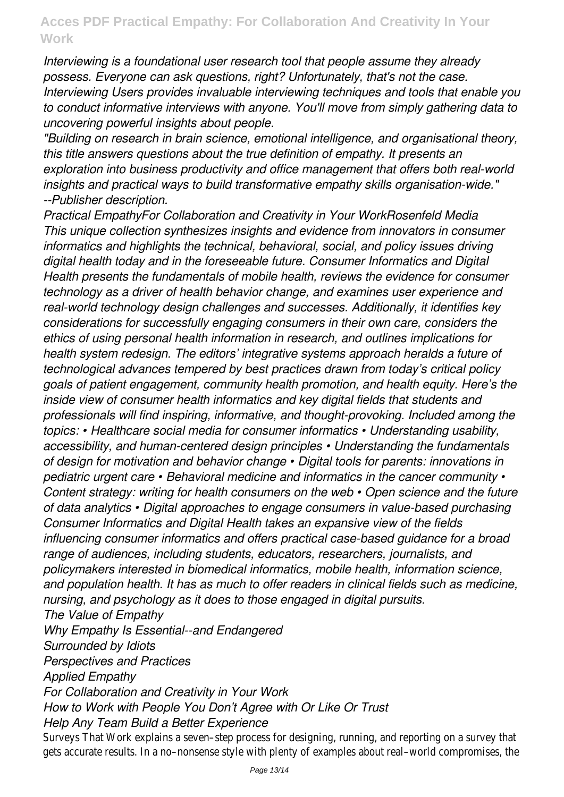*Interviewing is a foundational user research tool that people assume they already possess. Everyone can ask questions, right? Unfortunately, that's not the case. Interviewing Users provides invaluable interviewing techniques and tools that enable you to conduct informative interviews with anyone. You'll move from simply gathering data to uncovering powerful insights about people.*

*"Building on research in brain science, emotional intelligence, and organisational theory, this title answers questions about the true definition of empathy. It presents an exploration into business productivity and office management that offers both real-world insights and practical ways to build transformative empathy skills organisation-wide." --Publisher description.*

*Practical EmpathyFor Collaboration and Creativity in Your WorkRosenfeld Media This unique collection synthesizes insights and evidence from innovators in consumer informatics and highlights the technical, behavioral, social, and policy issues driving digital health today and in the foreseeable future. Consumer Informatics and Digital Health presents the fundamentals of mobile health, reviews the evidence for consumer technology as a driver of health behavior change, and examines user experience and real-world technology design challenges and successes. Additionally, it identifies key considerations for successfully engaging consumers in their own care, considers the ethics of using personal health information in research, and outlines implications for health system redesign. The editors' integrative systems approach heralds a future of technological advances tempered by best practices drawn from today's critical policy goals of patient engagement, community health promotion, and health equity. Here's the inside view of consumer health informatics and key digital fields that students and professionals will find inspiring, informative, and thought-provoking. Included among the topics: • Healthcare social media for consumer informatics • Understanding usability, accessibility, and human-centered design principles • Understanding the fundamentals of design for motivation and behavior change • Digital tools for parents: innovations in pediatric urgent care • Behavioral medicine and informatics in the cancer community • Content strategy: writing for health consumers on the web • Open science and the future of data analytics • Digital approaches to engage consumers in value-based purchasing Consumer Informatics and Digital Health takes an expansive view of the fields influencing consumer informatics and offers practical case-based guidance for a broad range of audiences, including students, educators, researchers, journalists, and policymakers interested in biomedical informatics, mobile health, information science, and population health. It has as much to offer readers in clinical fields such as medicine, nursing, and psychology as it does to those engaged in digital pursuits. The Value of Empathy Why Empathy Is Essential--and Endangered Surrounded by Idiots Perspectives and Practices Applied Empathy For Collaboration and Creativity in Your Work How to Work with People You Don't Agree with Or Like Or Trust Help Any Team Build a Better Experience*

Surveys That Work explains a seven–step process for designing, running, and reporting on a survey that gets accurate results. In a no–nonsense style with plenty of examples about real–world compromises, the